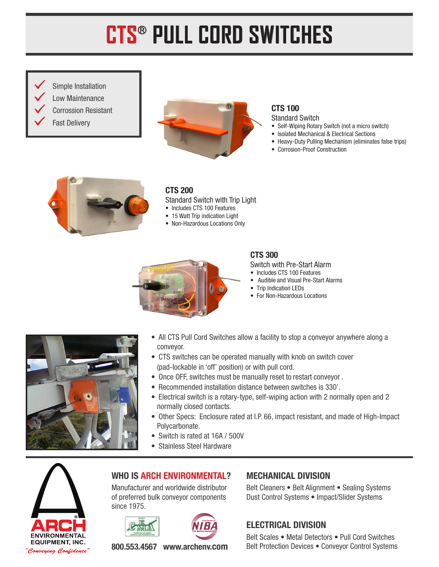# **CTS**® **PULL CORD SWITCHES**

 Simple Installation Low Maintenance Corrossion Resistant

Fast Delivery



#### CTS 100 Standard Switch

- Self-Wiping Rotary Switch (not a micro switch)
- Isolated Mechanical & Electrical Sections
- Heavy-Duty Pulling Mechanism (eliminates false trips)
- Corrosion-Proof Construction



### CTS 200

- Standard Switch with Trip Light
- Includes CTS 100 Features
- 15 Watt Trip indication Light
- Non-Hazardous Locations Only



#### CTS 300

Switch with Pre-Start Alarm

- Includes CTS 100 Features
- Audible and Visual Pre-Start Alarms
- Trip Indication LEDs
- For Non-Hazardous Locations



- All CTS Pull Cord Switches allow a facility to stop a conveyor anywhere along a conveyor.
- CTS switches can be operated manually with knob on switch cover (pad-lockable in 'off' position) or with pull cord.
- Once OFF, switches must be manually reset to restart conveyor .
- Recommended installation distance between switches is 330'.
- Electrical switch is a rotary-type, self-wiping action with 2 normally open and 2 normally closed contacts.
- Other Specs: Enclosure rated at I.P. 66, impact resistant, and made of High-Impact Polycarbonate.
- Switch is rated at 16A / 500V
- Stainless Steel Hardware



## WHO IS ARCH ENVIRONMENTAL?

Manufacturer and worldwide distributor of preferred bulk conveyor components since 1975.

#### Belt Cleaners • Belt Alignment • Sealing Systems Dust Control Systems • Impact/Slider Systems

## ELECTRICAL DIVISION

MECHANICAL DIVISION

Belt Scales • Metal Detectors • Pull Cord Switches Belt Protection Devices • Conveyor Control Systems

800.553.4567 www.archenv.com